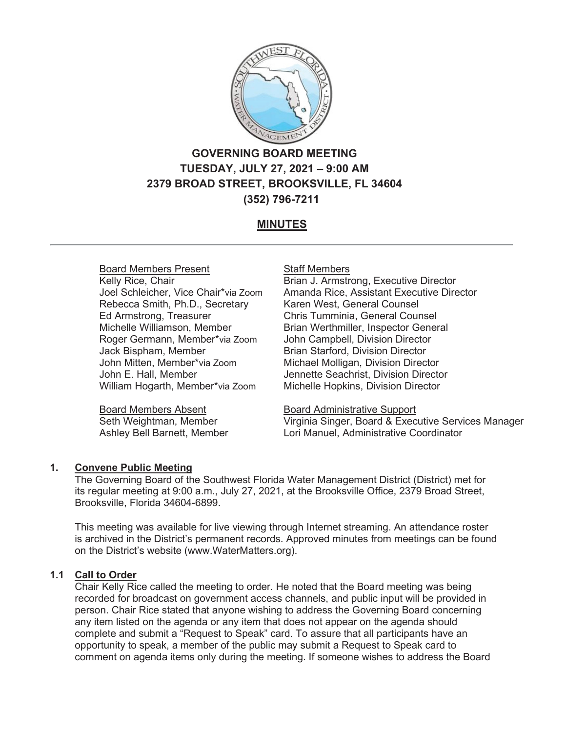

# **GOVERNING BOARD MEETING TUESDAY, JULY 27, 2021 – 9:00 AM 2379 BROAD STREET, BROOKSVILLE, FL 34604 (352) 796-7211**

# **MINUTES**

# Board Members Present

Kelly Rice, Chair Joel Schleicher, Vice Chair\*via Zoom Rebecca Smith, Ph.D., Secretary Ed Armstrong, Treasurer Michelle Williamson, Member Roger Germann, Member\*via Zoom Jack Bispham, Member John Mitten, Member\*via Zoom John E. Hall, Member William Hogarth, Member\*via Zoom

Board Members Absent Seth Weightman, Member Ashley Bell Barnett, Member

### **Staff Members**

Brian J. Armstrong, Executive Director Amanda Rice, Assistant Executive Director Karen West, General Counsel Chris Tumminia, General Counsel Brian Werthmiller, Inspector General John Campbell, Division Director Brian Starford, Division Director Michael Molligan, Division Director Jennette Seachrist, Division Director Michelle Hopkins, Division Director

Board Administrative Support Virginia Singer, Board & Executive Services Manager Lori Manuel, Administrative Coordinator

# **1. Convene Public Meeting**

The Governing Board of the Southwest Florida Water Management District (District) met for its regular meeting at 9:00 a.m., July 27, 2021, at the Brooksville Office, 2379 Broad Street, Brooksville, Florida 34604-6899.

This meeting was available for live viewing through Internet streaming. An attendance roster is archived in the District's permanent records. Approved minutes from meetings can be found on the District's website (www.WaterMatters.org).

# **1.1 Call to Order**

Chair Kelly Rice called the meeting to order. He noted that the Board meeting was being recorded for broadcast on government access channels, and public input will be provided in person. Chair Rice stated that anyone wishing to address the Governing Board concerning any item listed on the agenda or any item that does not appear on the agenda should complete and submit a "Request to Speak" card. To assure that all participants have an opportunity to speak, a member of the public may submit a Request to Speak card to comment on agenda items only during the meeting. If someone wishes to address the Board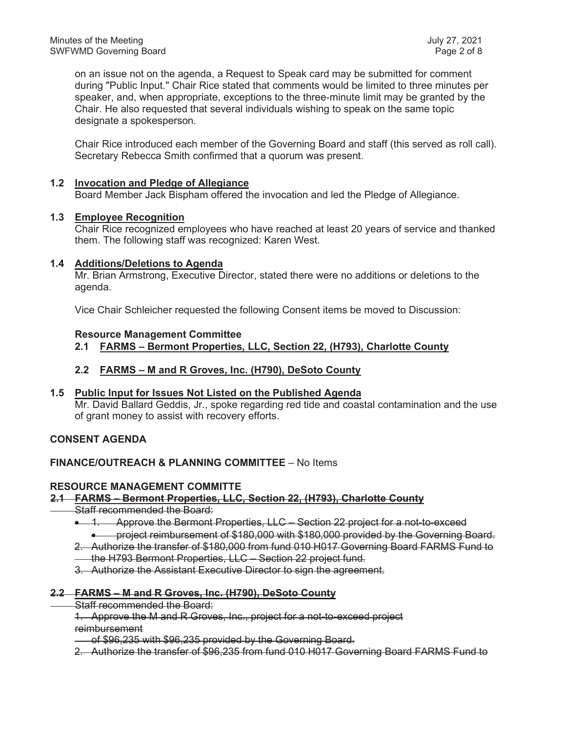on an issue not on the agenda, a Request to Speak card may be submitted for comment during "Public Input." Chair Rice stated that comments would be limited to three minutes per speaker, and, when appropriate, exceptions to the three-minute limit may be granted by the Chair. He also requested that several individuals wishing to speak on the same topic designate a spokesperson.

Chair Rice introduced each member of the Governing Board and staff (this served as roll call). Secretary Rebecca Smith confirmed that a quorum was present.

### **1.2 Invocation and Pledge of Allegiance**

Board Member Jack Bispham offered the invocation and led the Pledge of Allegiance.

### **1.3 Employee Recognition**

Chair Rice recognized employees who have reached at least 20 years of service and thanked them. The following staff was recognized: Karen West.

### **1.4 Additions/Deletions to Agenda**

Mr. Brian Armstrong, Executive Director, stated there were no additions or deletions to the agenda.

Vice Chair Schleicher requested the following Consent items be moved to Discussion:

### **Resource Management Committee**

**2.1 FARMS – Bermont Properties, LLC, Section 22, (H793), Charlotte County**

### **2.2 FARMS – M and R Groves, Inc. (H790), DeSoto County**

### **1.5 Public Input for Issues Not Listed on the Published Agenda**

Mr. David Ballard Geddis, Jr., spoke regarding red tide and coastal contamination and the use of grant money to assist with recovery efforts.

### **CONSENT AGENDA**

# **FINANCE/OUTREACH & PLANNING COMMITTEE** – No Items

### **RESOURCE MANAGEMENT COMMITTE**

### **2.1 FARMS – Bermont Properties, LLC, Section 22, (H793), Charlotte County**

- Staff recommended the Board:
	- **1.** Approve the Bermont Properties, LLC Section 22 project for a not-to-exceed x project reimbursement of \$180,000 with \$180,000 provided by the Governing Board.
	- 2. Authorize the transfer of \$180,000 from fund 010 H017 Governing Board FARMS Fund to the H793 Bermont Properties, LLC – Section 22 project fund.
	- 3. Authorize the Assistant Executive Director to sign the agreement.

### **2.2 FARMS – M and R Groves, Inc. (H790), DeSoto County**

- Staff recommended the Board:
- 1. Approve the M and R Groves, Inc., project for a not-to-exceed project reimbursement

of \$96,235 with \$96,235 provided by the Governing Board.

2. Authorize the transfer of \$96,235 from fund 010 H017 Governing Board FARMS Fund to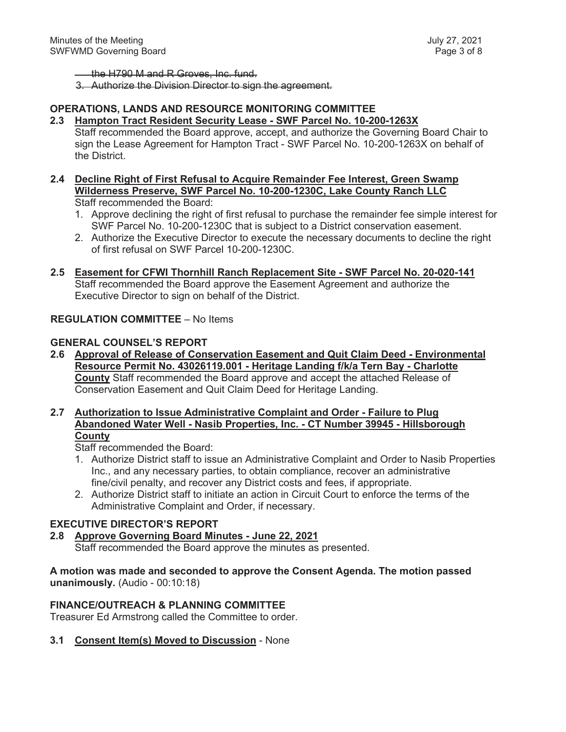the H790 M and R Groves, Inc. fund.

3. Authorize the Division Director to sign the agreement.

# **OPERATIONS, LANDS AND RESOURCE MONITORING COMMITTEE**

- **2.3 Hampton Tract Resident Security Lease SWF Parcel No. 10-200-1263X** Staff recommended the Board approve, accept, and authorize the Governing Board Chair to sign the Lease Agreement for Hampton Tract - SWF Parcel No. 10-200-1263X on behalf of the District.
- **2.4 Decline Right of First Refusal to Acquire Remainder Fee Interest, Green Swamp Wilderness Preserve, SWF Parcel No. 10-200-1230C, Lake County Ranch LLC**  Staff recommended the Board:
	- 1. Approve declining the right of first refusal to purchase the remainder fee simple interest for SWF Parcel No. 10-200-1230C that is subject to a District conservation easement.
	- 2. Authorize the Executive Director to execute the necessary documents to decline the right of first refusal on SWF Parcel 10-200-1230C.
- **2.5 Easement for CFWI Thornhill Ranch Replacement Site SWF Parcel No. 20-020-141** Staff recommended the Board approve the Easement Agreement and authorize the Executive Director to sign on behalf of the District.

### **REGULATION COMMITTEE** – No Items

### **GENERAL COUNSEL'S REPORT**

**2.6 Approval of Release of Conservation Easement and Quit Claim Deed - Environmental Resource Permit No. 43026119.001 - Heritage Landing f/k/a Tern Bay - Charlotte County** Staff recommended the Board approve and accept the attached Release of Conservation Easement and Quit Claim Deed for Heritage Landing.

### **2.7 Authorization to Issue Administrative Complaint and Order - Failure to Plug Abandoned Water Well - Nasib Properties, Inc. - CT Number 39945 - Hillsborough County**

Staff recommended the Board:

- 1. Authorize District staff to issue an Administrative Complaint and Order to Nasib Properties Inc., and any necessary parties, to obtain compliance, recover an administrative fine/civil penalty, and recover any District costs and fees, if appropriate.
- 2. Authorize District staff to initiate an action in Circuit Court to enforce the terms of the Administrative Complaint and Order, if necessary.

# **EXECUTIVE DIRECTOR'S REPORT**

### **2.8 Approve Governing Board Minutes - June 22, 2021** Staff recommended the Board approve the minutes as presented.

**A motion was made and seconded to approve the Consent Agenda. The motion passed unanimously.** (Audio - 00:10:18)

# **FINANCE/OUTREACH & PLANNING COMMITTEE**

Treasurer Ed Armstrong called the Committee to order.

### **3.1 Consent Item(s) Moved to Discussion** - None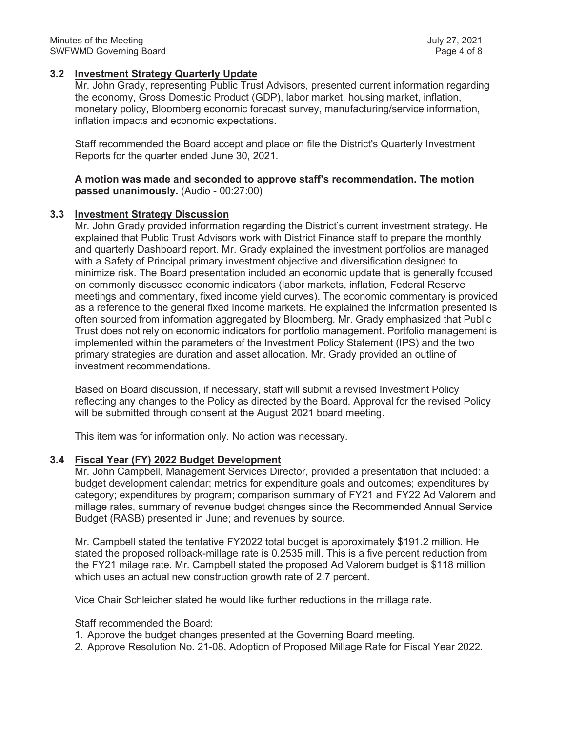### **3.2 Investment Strategy Quarterly Update**

Mr. John Grady, representing Public Trust Advisors, presented current information regarding the economy, Gross Domestic Product (GDP), labor market, housing market, inflation, monetary policy, Bloomberg economic forecast survey, manufacturing/service information, inflation impacts and economic expectations.

Staff recommended the Board accept and place on file the District's Quarterly Investment Reports for the quarter ended June 30, 2021.

**A motion was made and seconded to approve staff's recommendation. The motion passed unanimously.** (Audio - 00:27:00)

### **3.3 Investment Strategy Discussion**

Mr. John Grady provided information regarding the District's current investment strategy. He explained that Public Trust Advisors work with District Finance staff to prepare the monthly and quarterly Dashboard report. Mr. Grady explained the investment portfolios are managed with a Safety of Principal primary investment objective and diversification designed to minimize risk. The Board presentation included an economic update that is generally focused on commonly discussed economic indicators (labor markets, inflation, Federal Reserve meetings and commentary, fixed income yield curves). The economic commentary is provided as a reference to the general fixed income markets. He explained the information presented is often sourced from information aggregated by Bloomberg. Mr. Grady emphasized that Public Trust does not rely on economic indicators for portfolio management. Portfolio management is implemented within the parameters of the Investment Policy Statement (IPS) and the two primary strategies are duration and asset allocation. Mr. Grady provided an outline of investment recommendations.

Based on Board discussion, if necessary, staff will submit a revised Investment Policy reflecting any changes to the Policy as directed by the Board. Approval for the revised Policy will be submitted through consent at the August 2021 board meeting.

This item was for information only. No action was necessary.

# **3.4 Fiscal Year (FY) 2022 Budget Development**

Mr. John Campbell, Management Services Director, provided a presentation that included: a budget development calendar; metrics for expenditure goals and outcomes; expenditures by category; expenditures by program; comparison summary of FY21 and FY22 Ad Valorem and millage rates, summary of revenue budget changes since the Recommended Annual Service Budget (RASB) presented in June; and revenues by source.

Mr. Campbell stated the tentative FY2022 total budget is approximately \$191.2 million. He stated the proposed rollback-millage rate is 0.2535 mill. This is a five percent reduction from the FY21 milage rate. Mr. Campbell stated the proposed Ad Valorem budget is \$118 million which uses an actual new construction growth rate of 2.7 percent.

Vice Chair Schleicher stated he would like further reductions in the millage rate.

Staff recommended the Board:

1. Approve the budget changes presented at the Governing Board meeting.

2. Approve Resolution No. 21-08, Adoption of Proposed Millage Rate for Fiscal Year 2022.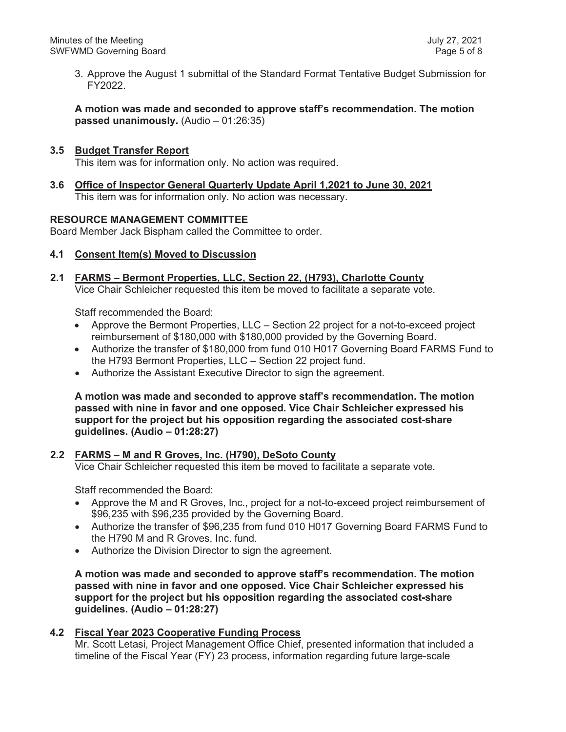3. Approve the August 1 submittal of the Standard Format Tentative Budget Submission for FY2022.

**A motion was made and seconded to approve staff's recommendation. The motion passed unanimously.** (Audio – 01:26:35)

# **3.5 Budget Transfer Report**

This item was for information only. No action was required.

**3.6 Office of Inspector General Quarterly Update April 1,2021 to June 30, 2021** This item was for information only. No action was necessary.

### **RESOURCE MANAGEMENT COMMITTEE**

Board Member Jack Bispham called the Committee to order.

### **4.1 Consent Item(s) Moved to Discussion**

**2.1 FARMS – Bermont Properties, LLC, Section 22, (H793), Charlotte County** Vice Chair Schleicher requested this item be moved to facilitate a separate vote.

Staff recommended the Board:

- Approve the Bermont Properties, LLC Section 22 project for a not-to-exceed project reimbursement of \$180,000 with \$180,000 provided by the Governing Board.
- Authorize the transfer of \$180,000 from fund 010 H017 Governing Board FARMS Fund to the H793 Bermont Properties, LLC – Section 22 project fund.
- Authorize the Assistant Executive Director to sign the agreement.

**A motion was made and seconded to approve staff's recommendation. The motion passed with nine in favor and one opposed. Vice Chair Schleicher expressed his support for the project but his opposition regarding the associated cost-share guidelines. (Audio – 01:28:27)**

### **2.2 FARMS – M and R Groves, Inc. (H790), DeSoto County**

Vice Chair Schleicher requested this item be moved to facilitate a separate vote.

Staff recommended the Board:

- Approve the M and R Groves, Inc., project for a not-to-exceed project reimbursement of \$96,235 with \$96,235 provided by the Governing Board.
- Authorize the transfer of \$96,235 from fund 010 H017 Governing Board FARMS Fund to the H790 M and R Groves, Inc. fund.
- Authorize the Division Director to sign the agreement.

**A motion was made and seconded to approve staff's recommendation. The motion passed with nine in favor and one opposed. Vice Chair Schleicher expressed his support for the project but his opposition regarding the associated cost-share guidelines. (Audio – 01:28:27)**

### **4.2 Fiscal Year 2023 Cooperative Funding Process**

Mr. Scott Letasi, Project Management Office Chief, presented information that included a timeline of the Fiscal Year (FY) 23 process, information regarding future large-scale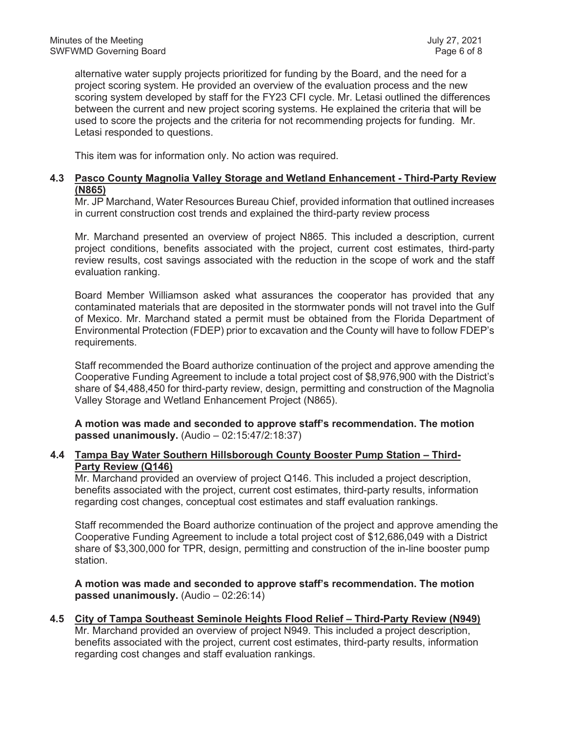alternative water supply projects prioritized for funding by the Board, and the need for a project scoring system. He provided an overview of the evaluation process and the new scoring system developed by staff for the FY23 CFI cycle. Mr. Letasi outlined the differences between the current and new project scoring systems. He explained the criteria that will be used to score the projects and the criteria for not recommending projects for funding. Mr. Letasi responded to questions.

This item was for information only. No action was required.

# **4.3 Pasco County Magnolia Valley Storage and Wetland Enhancement - Third-Party Review (N865)**

Mr. JP Marchand, Water Resources Bureau Chief, provided information that outlined increases in current construction cost trends and explained the third-party review process

Mr. Marchand presented an overview of project N865. This included a description, current project conditions, benefits associated with the project, current cost estimates, third-party review results, cost savings associated with the reduction in the scope of work and the staff evaluation ranking.

Board Member Williamson asked what assurances the cooperator has provided that any contaminated materials that are deposited in the stormwater ponds will not travel into the Gulf of Mexico. Mr. Marchand stated a permit must be obtained from the Florida Department of Environmental Protection (FDEP) prior to excavation and the County will have to follow FDEP's requirements.

Staff recommended the Board authorize continuation of the project and approve amending the Cooperative Funding Agreement to include a total project cost of \$8,976,900 with the District's share of \$4,488,450 for third-party review, design, permitting and construction of the Magnolia Valley Storage and Wetland Enhancement Project (N865).

**A motion was made and seconded to approve staff's recommendation. The motion passed unanimously.** (Audio – 02:15:47/2:18:37)

# **4.4 Tampa Bay Water Southern Hillsborough County Booster Pump Station – Third-Party Review (Q146)**

Mr. Marchand provided an overview of project Q146. This included a project description, benefits associated with the project, current cost estimates, third-party results, information regarding cost changes, conceptual cost estimates and staff evaluation rankings.

Staff recommended the Board authorize continuation of the project and approve amending the Cooperative Funding Agreement to include a total project cost of \$12,686,049 with a District share of \$3,300,000 for TPR, design, permitting and construction of the in-line booster pump station.

**A motion was made and seconded to approve staff's recommendation. The motion passed unanimously.** (Audio – 02:26:14)

# **4.5 City of Tampa Southeast Seminole Heights Flood Relief – Third-Party Review (N949)**

Mr. Marchand provided an overview of project N949. This included a project description, benefits associated with the project, current cost estimates, third-party results, information regarding cost changes and staff evaluation rankings.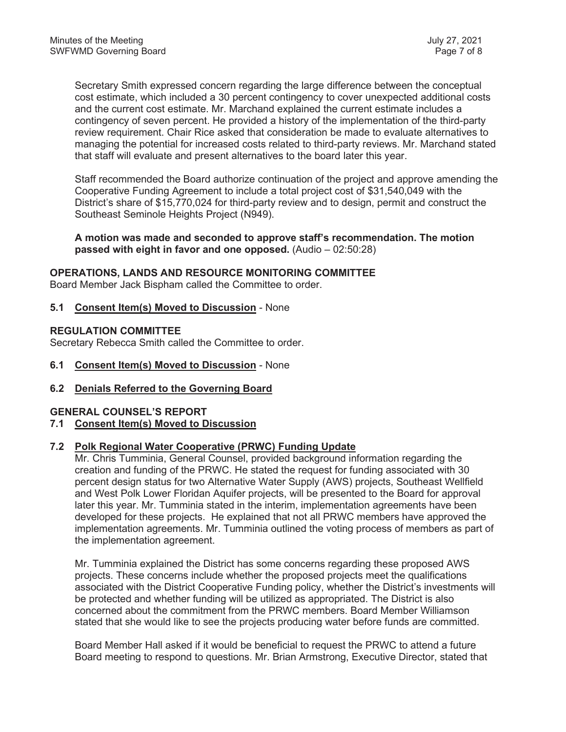Secretary Smith expressed concern regarding the large difference between the conceptual cost estimate, which included a 30 percent contingency to cover unexpected additional costs and the current cost estimate. Mr. Marchand explained the current estimate includes a contingency of seven percent. He provided a history of the implementation of the third-party review requirement. Chair Rice asked that consideration be made to evaluate alternatives to managing the potential for increased costs related to third-party reviews. Mr. Marchand stated that staff will evaluate and present alternatives to the board later this year.

Staff recommended the Board authorize continuation of the project and approve amending the Cooperative Funding Agreement to include a total project cost of \$31,540,049 with the District's share of \$15,770,024 for third-party review and to design, permit and construct the Southeast Seminole Heights Project (N949).

**A motion was made and seconded to approve staff's recommendation. The motion passed with eight in favor and one opposed.** (Audio – 02:50:28)

### **OPERATIONS, LANDS AND RESOURCE MONITORING COMMITTEE**

Board Member Jack Bispham called the Committee to order.

### **5.1 Consent Item(s) Moved to Discussion** - None

### **REGULATION COMMITTEE**

Secretary Rebecca Smith called the Committee to order.

### **6.1 Consent Item(s) Moved to Discussion** - None

### **6.2 Denials Referred to the Governing Board**

### **GENERAL COUNSEL'S REPORT**

### **7.1 Consent Item(s) Moved to Discussion**

### **7.2 Polk Regional Water Cooperative (PRWC) Funding Update**

Mr. Chris Tumminia, General Counsel, provided background information regarding the creation and funding of the PRWC. He stated the request for funding associated with 30 percent design status for two Alternative Water Supply (AWS) projects, Southeast Wellfield and West Polk Lower Floridan Aquifer projects, will be presented to the Board for approval later this year. Mr. Tumminia stated in the interim, implementation agreements have been developed for these projects. He explained that not all PRWC members have approved the implementation agreements. Mr. Tumminia outlined the voting process of members as part of the implementation agreement.

Mr. Tumminia explained the District has some concerns regarding these proposed AWS projects. These concerns include whether the proposed projects meet the qualifications associated with the District Cooperative Funding policy, whether the District's investments will be protected and whether funding will be utilized as appropriated. The District is also concerned about the commitment from the PRWC members. Board Member Williamson stated that she would like to see the projects producing water before funds are committed.

Board Member Hall asked if it would be beneficial to request the PRWC to attend a future Board meeting to respond to questions. Mr. Brian Armstrong, Executive Director, stated that